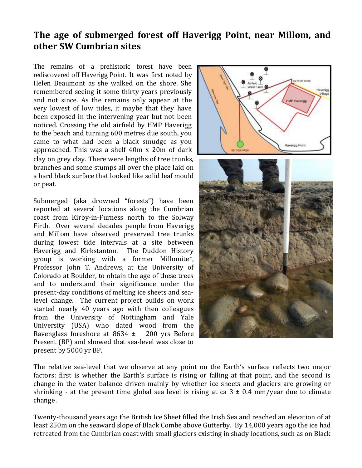## **The age of submerged forest off Haverigg Point, near Millom, and other SW Cumbrian sites**

The remains of a prehistoric forest have been rediscovered off Haverigg Point. It was first noted by Helen Beaumont as she walked on the shore. She remembered seeing it some thirty years previously and not since. As the remains only appear at the very lowest of low tides, it maybe that they have been exposed in the intervening year but not been noticed. Crossing the old airfield by HMP Haverigg to the beach and turning 600 metres due south, you came to what had been a black smudge as you approached. This was a shelf 40m x 20m of dark clay on grey clay. There were lengths of tree trunks, branches and some stumps all over the place laid on a hard black surface that looked like solid leaf mould or peat.

Submerged (aka drowned "forests") have been reported at several locations along the Cumbrian coast from Kirby-in-Furness north to the Solway Firth. Over several decades people from Haverigg and Millom have observed preserved tree trunks during lowest tide intervals at a site between Haverigg and Kirkstanton. The Duddon History group is working with a former Millomite\*, Professor John T. Andrews, at the University of Colorado at Boulder, to obtain the age of these trees and to understand their significance under the present-day conditions of melting ice sheets and sealevel change. The current project builds on work started nearly 40 years ago with then colleagues from the University of Nottingham and Yale University (USA) who dated wood from the Ravenglass foreshore at  $8634 \pm 200$  yrs Before Present (BP) and showed that sea-level was close to present by 5000 yr BP.



The relative sea-level that we observe at any point on the Earth's surface reflects two major factors: first is whether the Earth's surface is rising or falling at that point, and the second is change in the water balance driven mainly by whether ice sheets and glaciers are growing or shrinking - at the present time global sea level is rising at ca  $3 \pm 0.4$  mm/year due to climate change .

Twenty-thousand years ago the British Ice Sheet filled the Irish Sea and reached an elevation of at least 250m on the seaward slope of Black Combe above Gutterby. By 14,000 years ago the ice had retreated from the Cumbrian coast with small glaciers existing in shady locations, such as on Black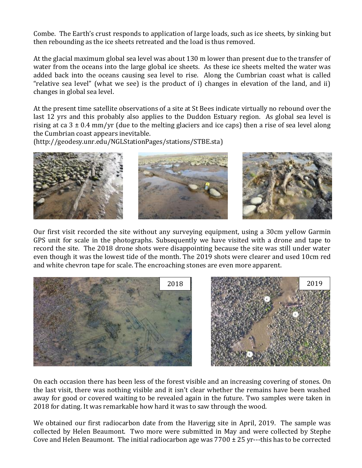Combe. The Earth's crust responds to application of large loads, such as ice sheets, by sinking but then rebounding as the ice sheets retreated and the load is thus removed.

At the glacial maximum global sea level was about 130 m lower than present due to the transfer of water from the oceans into the large global ice sheets. As these ice sheets melted the water was added back into the oceans causing sea level to rise. Along the Cumbrian coast what is called "relative sea level" (what we see) is the product of i) changes in elevation of the land, and ii) changes in global sea level.

At the present time satellite observations of a site at St Bees indicate virtually no rebound over the last 12 yrs and this probably also applies to the Duddon Estuary region. As global sea level is rising at ca  $3 \pm 0.4$  mm/yr (due to the melting glaciers and ice caps) then a rise of sea level along the Cumbrian coast appears inevitable.

(http://geodesy.unr.edu/NGLStationPages/stations/STBE.sta)



Our first visit recorded the site without any surveying equipment, using a 30cm yellow Garmin GPS unit for scale in the photographs. Subsequently we have visited with a drone and tape to record the site. The 2018 drone shots were disappointing because the site was still under water even though it was the lowest tide of the month. The 2019 shots were clearer and used 10cm red and white chevron tape for scale. The encroaching stones are even more apparent.



On each occasion there has been less of the forest visible and an increasing covering of stones. On the last visit, there was nothing visible and it isn't clear whether the remains have been washed away for good or covered waiting to be revealed again in the future. Two samples were taken in 2018 for dating. It was remarkable how hard it was to saw through the wood.

We obtained our first radiocarbon date from the Haverigg site in April, 2019. The sample was collected by Helen Beaumont. Two more were submitted in May and were collected by Stephe Cove and Helen Beaumont. The initial radiocarbon age was  $7700 \pm 25$  yr---this has to be corrected